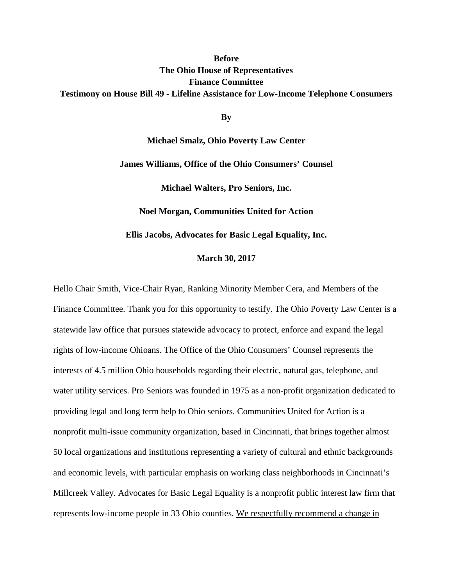### **Before The Ohio House of Representatives Finance Committee Testimony on House Bill 49 - Lifeline Assistance for Low-Income Telephone Consumers**

**By**

**Michael Smalz, Ohio Poverty Law Center James Williams, Office of the Ohio Consumers' Counsel Michael Walters, Pro Seniors, Inc. Noel Morgan, Communities United for Action Ellis Jacobs, Advocates for Basic Legal Equality, Inc.** 

**March 30, 2017**

Hello Chair Smith, Vice-Chair Ryan, Ranking Minority Member Cera, and Members of the Finance Committee. Thank you for this opportunity to testify. The Ohio Poverty Law Center is a statewide law office that pursues statewide advocacy to protect, enforce and expand the legal rights of low-income Ohioans. The Office of the Ohio Consumers' Counsel represents the interests of 4.5 million Ohio households regarding their electric, natural gas, telephone, and water utility services. Pro Seniors was founded in 1975 as a non-profit organization dedicated to providing legal and long term help to Ohio seniors. Communities United for Action is a nonprofit multi-issue community organization, based in Cincinnati, that brings together almost 50 local organizations and institutions representing a variety of cultural and ethnic backgrounds and economic levels, with particular emphasis on working class neighborhoods in Cincinnati's Millcreek Valley. Advocates for Basic Legal Equality is a nonprofit public interest law firm that represents low-income people in 33 Ohio counties. We respectfully recommend a change in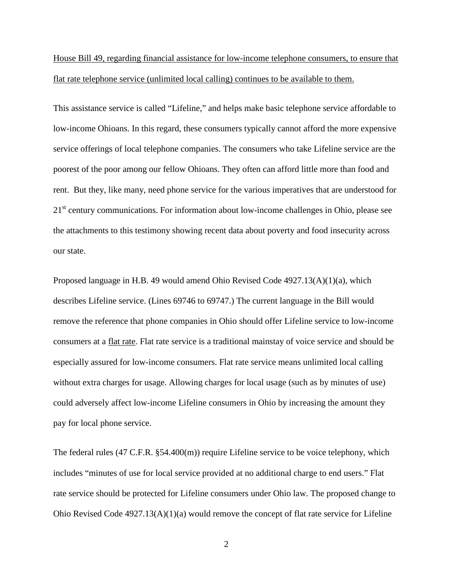House Bill 49, regarding financial assistance for low-income telephone consumers, to ensure that flat rate telephone service (unlimited local calling) continues to be available to them.

This assistance service is called "Lifeline," and helps make basic telephone service affordable to low-income Ohioans. In this regard, these consumers typically cannot afford the more expensive service offerings of local telephone companies. The consumers who take Lifeline service are the poorest of the poor among our fellow Ohioans. They often can afford little more than food and rent. But they, like many, need phone service for the various imperatives that are understood for 21<sup>st</sup> century communications. For information about low-income challenges in Ohio, please see the attachments to this testimony showing recent data about poverty and food insecurity across our state.

Proposed language in H.B. 49 would amend Ohio Revised Code 4927.13(A)(1)(a), which describes Lifeline service. (Lines 69746 to 69747.) The current language in the Bill would remove the reference that phone companies in Ohio should offer Lifeline service to low-income consumers at a flat rate. Flat rate service is a traditional mainstay of voice service and should be especially assured for low-income consumers. Flat rate service means unlimited local calling without extra charges for usage. Allowing charges for local usage (such as by minutes of use) could adversely affect low-income Lifeline consumers in Ohio by increasing the amount they pay for local phone service.

The federal rules (47 C.F.R. §54.400(m)) require Lifeline service to be voice telephony, which includes "minutes of use for local service provided at no additional charge to end users." Flat rate service should be protected for Lifeline consumers under Ohio law. The proposed change to Ohio Revised Code 4927.13(A)(1)(a) would remove the concept of flat rate service for Lifeline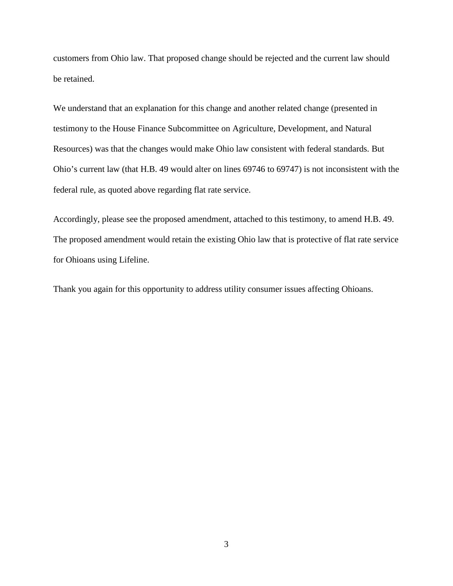customers from Ohio law. That proposed change should be rejected and the current law should be retained.

We understand that an explanation for this change and another related change (presented in testimony to the House Finance Subcommittee on Agriculture, Development, and Natural Resources) was that the changes would make Ohio law consistent with federal standards. But Ohio's current law (that H.B. 49 would alter on lines 69746 to 69747) is not inconsistent with the federal rule, as quoted above regarding flat rate service.

Accordingly, please see the proposed amendment, attached to this testimony, to amend H.B. 49. The proposed amendment would retain the existing Ohio law that is protective of flat rate service for Ohioans using Lifeline.

Thank you again for this opportunity to address utility consumer issues affecting Ohioans.

3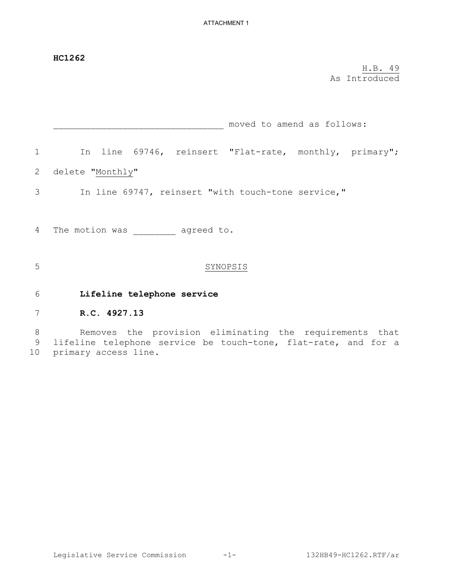|                  | <b>HC1262</b>                                                                                                                                     |
|------------------|---------------------------------------------------------------------------------------------------------------------------------------------------|
|                  | H.B. 49<br>As Introduced                                                                                                                          |
|                  | moved to amend as follows:                                                                                                                        |
| $\mathbf 1$      | In line 69746, reinsert "Flat-rate, monthly, primary";                                                                                            |
| 2                | delete "Monthly"                                                                                                                                  |
| 3                | In line 69747, reinsert "with touch-tone service,"                                                                                                |
| 4                | The motion was agreed to.                                                                                                                         |
| 5                | SYNOPSIS                                                                                                                                          |
| 6                | Lifeline telephone service                                                                                                                        |
| 7                | R.C. 4927.13                                                                                                                                      |
| $8\,$<br>9<br>10 | Removes the provision eliminating the requirements that<br>lifeline telephone service be touch-tone, flat-rate, and for a<br>primary access line. |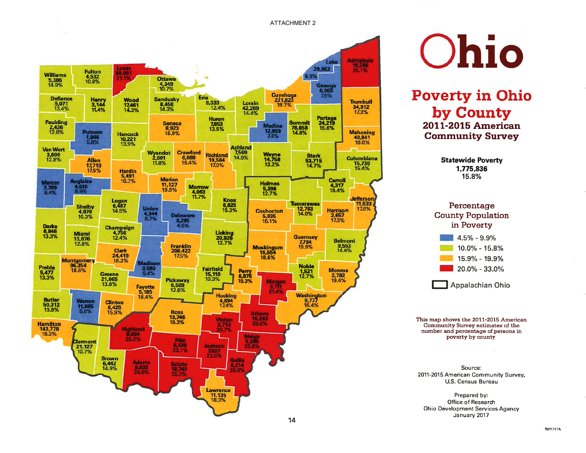



**Poverty in Ohio** by County 2011-2015 American **Community Survey** 

> **Statewide Poverty** 1.775.836 15.8%



This map shows the 2011-2015 American Community Survey estimates of the number and percentage of persons in poverty by county

Source: 2011-2015 American Community Survey, U.S. Census Bureau

Prepared by: Office of Research Ohio Development Services Agency January 2017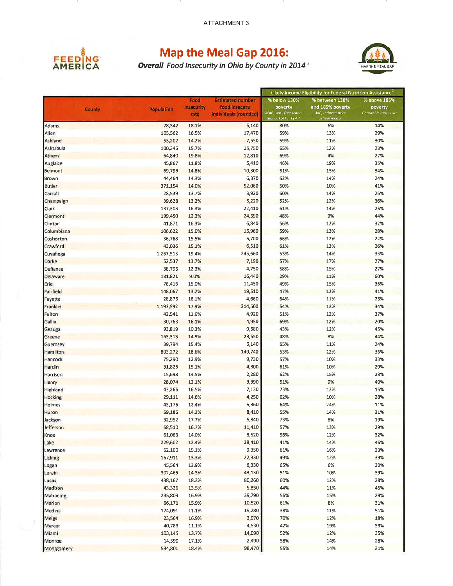

# **Map the Meal Gap 2016:**<br>Overall Food Insecurity in Ohio by County in 2014<sup>1</sup>



|                 |               |            |                   | Likely Income Eligibility for Federal Nutrition Assistance |                                             |                                    |                     |
|-----------------|---------------|------------|-------------------|------------------------------------------------------------|---------------------------------------------|------------------------------------|---------------------|
|                 |               |            | Food              | <b>Estimated number</b>                                    | % below 130%                                | % between 130%                     | % above 185%        |
|                 | <b>County</b> | Population | <b>Insecurity</b> | food insecure                                              | poverty                                     | and 185% poverty                   | poverty             |
|                 |               |            | rate              | individuals (rounded)                                      | SNAP, WIC, free school<br>meals, CSFP TEFAP | WIC, reduced price<br>school meals | Charitable Response |
| Adams           |               | 28,342     | 18.1%             | 5,140                                                      | 80%                                         | 6%                                 | 14%                 |
| Allen           |               | 105,562    | 16.5%             | 17,470                                                     | 59%                                         | 13%                                | 29%                 |
| Ashland         |               | 53,202     | 14.2%             | 7,550                                                      | 59%                                         | 11%                                | 30%                 |
| Ashtabula       |               | 100,346    | 15.7%             | 15,750                                                     | 65%                                         | 12%                                | 23%                 |
| Athens          |               | 64,840     | 19.8%             | 12,810                                                     | 69%                                         | 4%                                 | 27%                 |
| Auglaize        |               | 45,867     | 11.8%             | 5,410                                                      | 46%                                         | 19%                                | 35%                 |
| Belmont         |               | 69,793     | 14.8%             | 10,300                                                     | 51%                                         | 15%                                | 34%                 |
| Brown           |               | 44,464     | 14.3%             | 6,370                                                      | 62%                                         | 14%                                | 24%                 |
| <b>Butler</b>   |               | 371,154    | 14.0%             | 52,060                                                     | 50%                                         | 10%                                | 41%                 |
| Carroll         |               | 28,539     | 13.7%             | 3,920                                                      | 60%                                         | 14%                                | 26%                 |
| Champaign       |               | 39,628     | 13.2%             | 5,220                                                      | 52%                                         | 12%                                | 36%                 |
| Clark           |               | 137,303    | 16.3%             | 22,410                                                     | 61%                                         | 14%                                | 25%                 |
| Clermont        |               | 199,450    | 12.3%             | 24,590                                                     | 48%                                         | 9%                                 | 44%                 |
| Clinton         |               | 41,871     | 16.3%             | 6,840                                                      | 56%                                         | 12%                                | 32%                 |
| Columbiana      |               | 106,622    | 15.0%             | 15,960                                                     | 59%                                         | 13%                                | 28%                 |
| Coshocton       |               | 36,768     | 15.5%             | 5,700                                                      | 66%                                         | 12%                                | 22%                 |
| Crawford        |               | 43,036     | 15.1%             | 6,510                                                      | 61%                                         | 13%                                | 26%                 |
| Cuyahoga        |               | 1,267,513  | 19.4%             | 245,660                                                    | 53%                                         | 14%                                | 33%                 |
| Darke           |               | 52,537     | 13.7%             | 7,190                                                      | 57%                                         | 17%                                | 27%                 |
| Defiance        |               | 38,795     | 12.3%             | 4,750                                                      | 58%                                         | 15%                                | 27%                 |
| <b>Delaware</b> |               | 181,821    | 9.0%              | 16,440                                                     | 29%                                         | 11%                                | 60%                 |
| Erie            |               | 76,416     | 15.0%             | 11,450                                                     | 49%                                         | 15%                                | 36%                 |
| Fairfield       |               | 148,067    | 13.2%             | 19,510                                                     | 47%                                         | 12%                                | 41%                 |
| Fayette         |               | 28,875     | 16.1%             | 4,660                                                      | 64%                                         | 11%                                | 25%                 |
| Franklin        |               | 1,197,592  | 17.9%             | 214,500                                                    | 54%                                         | 13%                                | 34%                 |
| Fulton          |               | 42,541     | 11.6%             | 4,920                                                      | 51%                                         | 12%                                | 37%                 |
| Gallia          |               | 30,763     | 16.1%             | 4,950                                                      | 69%                                         | 12%                                | 20%                 |
| Geauga          |               | 93,819     | 10.3%             | 9,680                                                      | 43%                                         | 12%                                | 45%                 |
| Greene          |               | 163,313    | 14.5%             | 23,650                                                     | 48%                                         | 8%                                 | 44%                 |
| Guernsey        |               | 39,794     | 15.4%             | 6,140                                                      | 65%                                         | 11%                                | 24%                 |
| Hamilton        |               | 803,272    | 18.6%             | 149,740                                                    | 53%                                         | 12%                                | 36%                 |
| Hancock         |               | 75,290     | 12.9%             | 9,730                                                      | 57%                                         | 10%                                | 33%                 |
| Hardin          |               | 31,826     | 15.1%             | 4,800                                                      | 61%                                         | 10%                                | 29%                 |
| Harrison        |               | 15,698     | 14.5%             | 2,280                                                      | 62%                                         | 15%                                | 23%                 |
| Henry           |               | 28,074     | 12.1%             | 3,390                                                      | 51%                                         | 9%                                 | 40%                 |
| Highland        |               | 43,266     | 16.5%             | 7,130                                                      | 73%                                         | 12%                                | 15%                 |
| <b>Hocking</b>  |               | 29,111     | 14.6%             | 4,250                                                      | 62%                                         | 10%                                | 28%                 |
| Holmes          |               | 43,176     | 12.4%             | 5,360                                                      | 64%                                         | 24%                                | 11%                 |
| Huron           |               | 59,186     | 14.2%             | 8,410                                                      | 55%                                         | 14%                                | 31%                 |
| Jackson         |               | 32,952     | 17.7%             | 5,840                                                      | 73%                                         | 8%                                 | 19%                 |
| Jefferson       |               | 68,510     | 16.7%             | 11,410                                                     | 57%                                         | 13%                                | 29%                 |
| Knox            |               | 61,063     | 14.0%             | 8,520                                                      | 56%                                         | 12%                                | 32%                 |
| Lake            |               | 229,602    | 12.4%             | 28,410                                                     | 41%                                         | 14%                                | 46%                 |
| Lawrence        |               | 62,100     | 15.1%             | 9,350                                                      | 61%                                         | 16%                                | 23%                 |
| Licking         |               | 167,911    | 13.3%             | 22,330                                                     | 49%                                         | 12%                                | 39%                 |
| Logan           |               | 45,564     | 13.9%             | 6,330                                                      | 65%                                         | 6%                                 | 30%                 |
| Lorain          |               | 302,465    | 14.3%             | 43,130                                                     | 51%                                         | 10%                                | 39%                 |
| Lucas           |               | 438,167    | 18.3%             | 80,260                                                     | 60%                                         | 12%                                | 28%                 |
| Madison         |               | 43,326     | 13.5%             | 5,850                                                      | 44%                                         | 11%                                | 45%                 |
| Mahoning        |               | 235,809    | 16.9%             | 39,790                                                     | 56%                                         | 15%                                | 29%                 |
| Marion          |               | 66,171     | 15.9%             | 10,520                                                     | 61%                                         | 8%                                 | 31%                 |
| Medina          |               | 174,091    | 11.1%             | 19,280                                                     | 38%                                         | 11%                                | 51%                 |
| <b>Meigs</b>    |               | 23,564     | 16.9%             | 3,970                                                      | 70%                                         | 12%                                | 18%                 |
| Mercer          |               | 40,789     | 11.1%             | 4,530                                                      | 42%                                         | 19%                                | 39%                 |
| Miami           |               | 103,145    | 13.7%             | 14,090                                                     | 52%                                         | 12%                                | 35%                 |
| Monroe          |               | 14,590     | 17.1%             | 2,490                                                      | 58%                                         | 14%                                | 28%                 |
| Montgomery      |               | 534,801    | 18.4%             | 98,470                                                     | 55%                                         | 14%                                | 31%                 |
|                 |               |            |                   |                                                            |                                             |                                    |                     |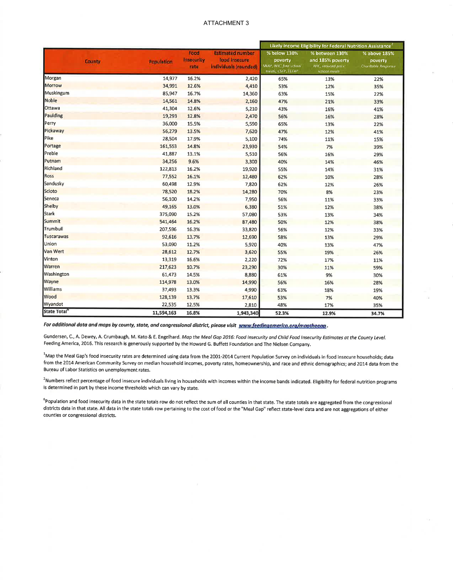|                          |                   | Food<br><b>Insecurity</b><br>rate | <b>Estimated number</b><br>food insecure<br>individuals (rounded) | Likely Income Eligibility for Federal Nutrition Assistance <sup>2</sup> |                                                                                  |                                                |  |
|--------------------------|-------------------|-----------------------------------|-------------------------------------------------------------------|-------------------------------------------------------------------------|----------------------------------------------------------------------------------|------------------------------------------------|--|
| <b>County</b>            | <b>Population</b> |                                   |                                                                   | % below 130%<br>poverty<br>SNAP, WIC, free school<br>meals, CSEP TEFAP  | % between 130%<br>and 185% poverty<br><b>WIC</b> , reduced price<br>school meals | % above 185%<br>poverty<br>Charitable Response |  |
| Morgan                   | 14,977            | 16.2%                             | 2,420                                                             | 65%                                                                     | 13%                                                                              | 22%                                            |  |
| <b>Morrow</b>            | 34,991            | 12.6%                             | 4,410                                                             | 53%                                                                     | 12%                                                                              | 35%                                            |  |
| Muskingum                | 85,947            | 16.7%                             | 14,360                                                            | 63%                                                                     | 15%                                                                              | 22%                                            |  |
| Noble                    | 14,561            | 14.8%                             | 2,160                                                             | 47%                                                                     | 21%                                                                              | 33%                                            |  |
| Ottawa                   | 41,304            | 12.6%                             | 5,210                                                             | 43%                                                                     | 16%                                                                              | 41%                                            |  |
| Paulding                 | 19,293            | 12.8%                             | 2,470                                                             | 56%                                                                     | 16%                                                                              | 28%                                            |  |
| Perry                    | 36,000            | 15.5%                             | 5,590                                                             | 65%                                                                     | 13%                                                                              | 22%                                            |  |
| Pickaway                 | 56,279            | 13.5%                             | 7,620                                                             | 47%                                                                     | 12%                                                                              | 41%                                            |  |
| Pike                     | 28,504            | 17.9%                             | 5,100                                                             | 74%                                                                     | 11%                                                                              | 15%                                            |  |
| Portage                  | 161,553           | 14.8%                             | 23,930                                                            | 54%                                                                     | 7%                                                                               | 39%                                            |  |
| Preble                   | 41,887            | 13.1%                             | 5,510                                                             | 56%                                                                     | 16%                                                                              | 29%                                            |  |
| Putnam                   | 34,256            | 9.6%                              | 3,300                                                             | 40%                                                                     | 14%                                                                              | 46%                                            |  |
| Richland                 | 122,813           | 16.2%                             | 19,920                                                            | 55%                                                                     | 14%                                                                              | 31%                                            |  |
| <b>Ross</b>              | 77,552            | 16.1%                             | 12,480                                                            | 62%                                                                     | 10%                                                                              | 28%                                            |  |
| Sandusky                 | 60,498            | 12.9%                             | 7,820                                                             | 62%                                                                     | 12%                                                                              | 26%                                            |  |
| Scioto                   | 78,520            | 18.2%                             | 14,280                                                            | 70%                                                                     | 8%                                                                               | 23%                                            |  |
| Seneca                   | 56,100            | 14.2%                             | 7,950                                                             | 56%                                                                     | 11%                                                                              | 33%                                            |  |
| Shelby                   | 49,165            | 13.0%                             | 6,380                                                             | 51%                                                                     | 12%                                                                              | 38%                                            |  |
| <b>Stark</b>             | 375,090           | 15.2%                             | 57,080                                                            | 53%                                                                     | 13%                                                                              | 34%                                            |  |
| Summit                   | 541,464           | 16.2%                             | 87,480                                                            | 50%                                                                     | 12%                                                                              | 38%                                            |  |
| Trumbull                 | 207,596           | 16.3%                             | 33,820                                                            | 56%                                                                     | 12%                                                                              | 33%                                            |  |
| Tuscarawas               | 92,616            | 13.7%                             | 12,690                                                            | 58%                                                                     | 13%                                                                              | 29%                                            |  |
| Union                    | 53,090            | 11.2%                             | 5,920                                                             | 40%                                                                     | 13%                                                                              | 47%                                            |  |
| Van Wert                 | 28,612            | 12.7%                             | 3,620                                                             | 55%                                                                     | 19%                                                                              | 26%                                            |  |
| Vinton                   | 13,319            | 16.6%                             | 2,220                                                             | 72%                                                                     | 17%                                                                              | 11%                                            |  |
| Warren                   | 217,623           | 10.7%                             | 23,290                                                            | 30%                                                                     | 11%                                                                              | 59%                                            |  |
| Washington               | 61,473            | 14.5%                             | 8,880                                                             | 61%                                                                     | 9%                                                                               | 30%                                            |  |
| Wayne                    | 114,978           | 13.0%                             | 14,990                                                            | 56%                                                                     | 16%                                                                              | 28%                                            |  |
| Williams                 | 37,493            | 13.3%                             | 4,990                                                             | 63%                                                                     | 18%                                                                              | 19%                                            |  |
| Wood                     | 128,139           | 13.7%                             | 17,610                                                            | 53%                                                                     | 7%                                                                               | 40%                                            |  |
| Wyandot                  | 22,535            | 12.5%                             | 2,810                                                             | 48%                                                                     | 17%                                                                              | 35%                                            |  |
| State Total <sup>®</sup> | 11,594,163        | 16.8%                             | 1,943,340                                                         | 52.3%                                                                   | 12.9%                                                                            | 34.7%                                          |  |

For additional data and maps by county, state, and congressional district, please visit www.feedingamerica.org/mapthegap.

Gundersen, C., A. Dewey, A. Crumbaugh, M. Kato & E. Engelhard. Map the Meal Gap 2016: Food Insecurity and Child Food Insecurity Estimates at the County Level. Feeding America, 2016. This research is generously supported by the Howard G. Buffett Foundation and The Nielsen Company.

<sup>1</sup>Map the Meal Gap's food insecurity rates are determined using data from the 2001-2014 Current Population Survey on individuals in food insecure households; data from the 2014 American Community Survey on median household incomes, poverty rates, homeownership, and race and ethnic demographics; and 2014 data from the Bureau of Labor Statistics on unemployment rates.

<sup>2</sup>Numbers reflect percentage of food insecure individuals living in households with incomes within the income bands indicated. Eligibility for federal nutrition programs is determined in part by these income thresholds which can vary by state.

<sup>6</sup>Population and food insecurity data in the state totals row do not reflect the sum of all counties in that state. The state totals are aggregated from the congressional districts data in that state. All data in the state totals row pertaining to the cost of food or the "Meal Gap" reflect state-level data and are not aggregations of either counties or congressional districts.